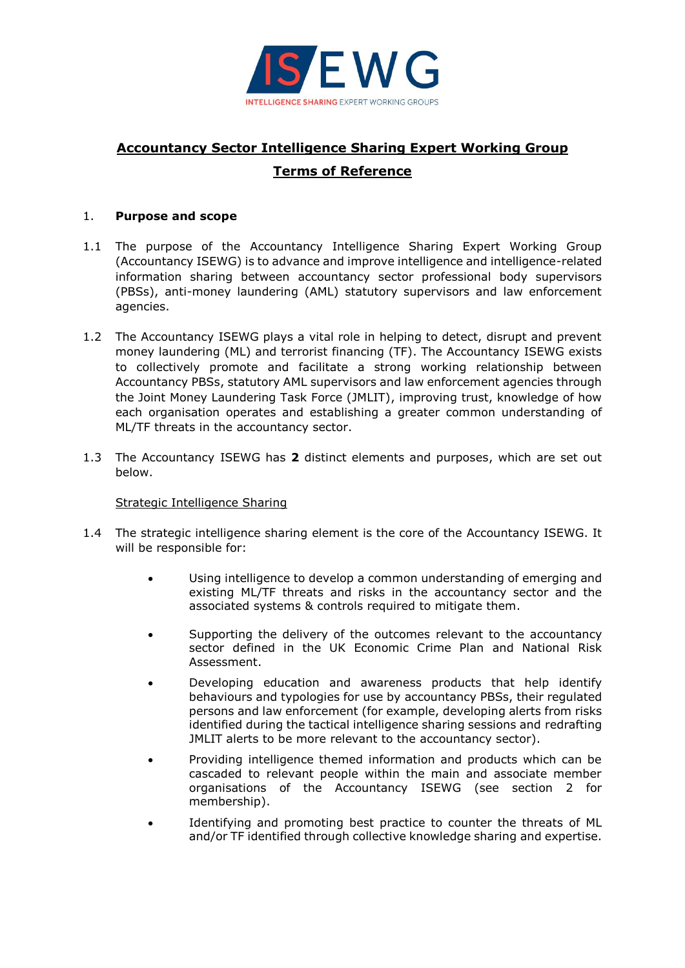

# **Accountancy Sector Intelligence Sharing Expert Working Group Terms of Reference**

## 1. **Purpose and scope**

- 1.1 The purpose of the Accountancy Intelligence Sharing Expert Working Group (Accountancy ISEWG) is to advance and improve intelligence and intelligence-related information sharing between accountancy sector professional body supervisors (PBSs), anti-money laundering (AML) statutory supervisors and law enforcement agencies.
- 1.2 The Accountancy ISEWG plays a vital role in helping to detect, disrupt and prevent money laundering (ML) and terrorist financing (TF). The Accountancy ISEWG exists to collectively promote and facilitate a strong working relationship between Accountancy PBSs, statutory AML supervisors and law enforcement agencies through the Joint Money Laundering Task Force (JMLIT), improving trust, knowledge of how each organisation operates and establishing a greater common understanding of ML/TF threats in the accountancy sector.
- 1.3 The Accountancy ISEWG has **2** distinct elements and purposes, which are set out below.

## Strategic Intelligence Sharing

- 1.4 The strategic intelligence sharing element is the core of the Accountancy ISEWG. It will be responsible for:
	- Using intelligence to develop a common understanding of emerging and existing ML/TF threats and risks in the accountancy sector and the associated systems & controls required to mitigate them.
	- Supporting the delivery of the outcomes relevant to the accountancy sector defined in the UK Economic Crime Plan and National Risk Assessment.
	- Developing education and awareness products that help identify behaviours and typologies for use by accountancy PBSs, their regulated persons and law enforcement (for example, developing alerts from risks identified during the tactical intelligence sharing sessions and redrafting JMLIT alerts to be more relevant to the accountancy sector).
	- Providing intelligence themed information and products which can be cascaded to relevant people within the main and associate member organisations of the Accountancy ISEWG (see section 2 for membership).
	- Identifying and promoting best practice to counter the threats of ML and/or TF identified through collective knowledge sharing and expertise.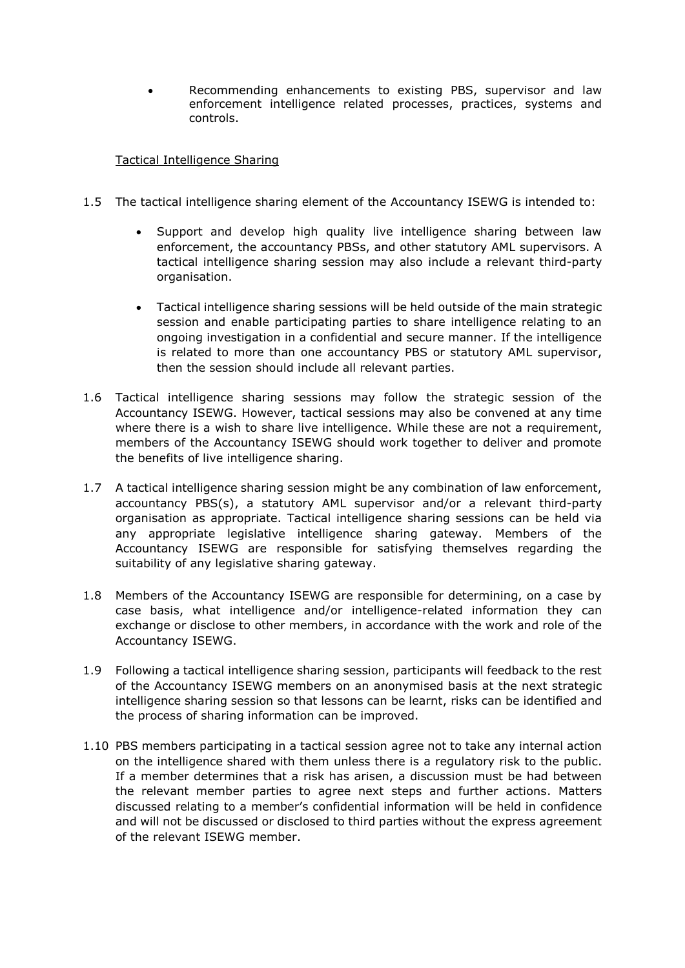• Recommending enhancements to existing PBS, supervisor and law enforcement intelligence related processes, practices, systems and controls.

## Tactical Intelligence Sharing

- 1.5 The tactical intelligence sharing element of the Accountancy ISEWG is intended to:
	- Support and develop high quality live intelligence sharing between law enforcement, the accountancy PBSs, and other statutory AML supervisors. A tactical intelligence sharing session may also include a relevant third-party organisation.
	- Tactical intelligence sharing sessions will be held outside of the main strategic session and enable participating parties to share intelligence relating to an ongoing investigation in a confidential and secure manner. If the intelligence is related to more than one accountancy PBS or statutory AML supervisor, then the session should include all relevant parties.
- 1.6 Tactical intelligence sharing sessions may follow the strategic session of the Accountancy ISEWG. However, tactical sessions may also be convened at any time where there is a wish to share live intelligence. While these are not a requirement, members of the Accountancy ISEWG should work together to deliver and promote the benefits of live intelligence sharing.
- 1.7 A tactical intelligence sharing session might be any combination of law enforcement, accountancy PBS(s), a statutory AML supervisor and/or a relevant third-party organisation as appropriate. Tactical intelligence sharing sessions can be held via any appropriate legislative intelligence sharing gateway. Members of the Accountancy ISEWG are responsible for satisfying themselves regarding the suitability of any legislative sharing gateway.
- 1.8 Members of the Accountancy ISEWG are responsible for determining, on a case by case basis, what intelligence and/or intelligence-related information they can exchange or disclose to other members, in accordance with the work and role of the Accountancy ISEWG.
- 1.9 Following a tactical intelligence sharing session, participants will feedback to the rest of the Accountancy ISEWG members on an anonymised basis at the next strategic intelligence sharing session so that lessons can be learnt, risks can be identified and the process of sharing information can be improved.
- 1.10 PBS members participating in a tactical session agree not to take any internal action on the intelligence shared with them unless there is a regulatory risk to the public. If a member determines that a risk has arisen, a discussion must be had between the relevant member parties to agree next steps and further actions. Matters discussed relating to a member's confidential information will be held in confidence and will not be discussed or disclosed to third parties without the express agreement of the relevant ISEWG member.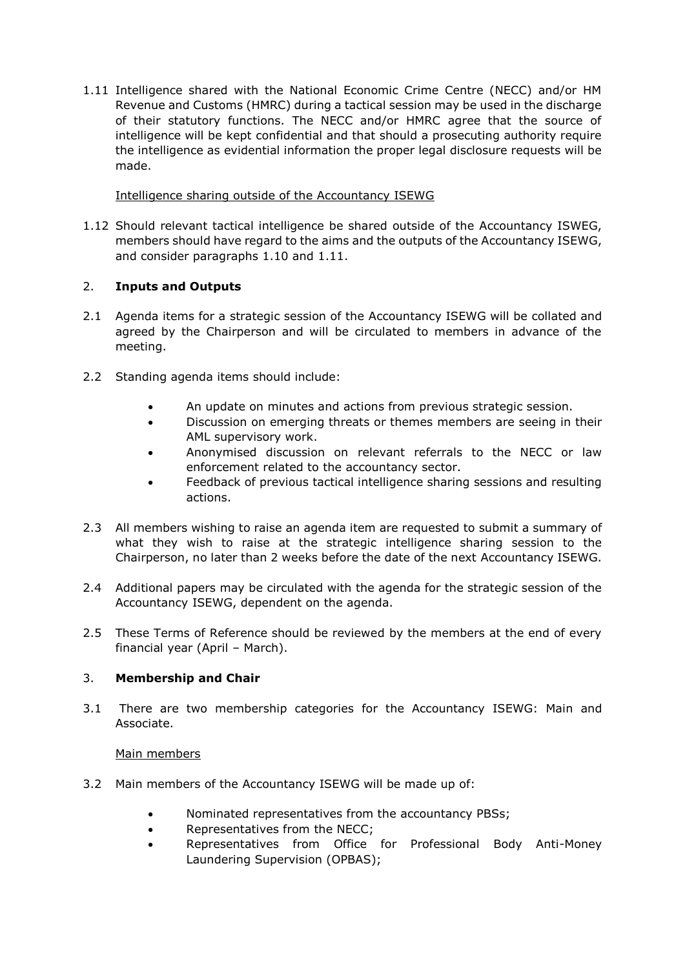1.11 Intelligence shared with the National Economic Crime Centre (NECC) and/or HM Revenue and Customs (HMRC) during a tactical session may be used in the discharge of their statutory functions. The NECC and/or HMRC agree that the source of intelligence will be kept confidential and that should a prosecuting authority require the intelligence as evidential information the proper legal disclosure requests will be made.

## Intelligence sharing outside of the Accountancy ISEWG

1.12 Should relevant tactical intelligence be shared outside of the Accountancy ISWEG, members should have regard to the aims and the outputs of the Accountancy ISEWG, and consider paragraphs 1.10 and 1.11.

## 2. **Inputs and Outputs**

- 2.1 Agenda items for a strategic session of the Accountancy ISEWG will be collated and agreed by the Chairperson and will be circulated to members in advance of the meeting.
- 2.2 Standing agenda items should include:
	- An update on minutes and actions from previous strategic session.
	- Discussion on emerging threats or themes members are seeing in their AML supervisory work.
	- Anonymised discussion on relevant referrals to the NECC or law enforcement related to the accountancy sector.
	- Feedback of previous tactical intelligence sharing sessions and resulting actions.
- 2.3 All members wishing to raise an agenda item are requested to submit a summary of what they wish to raise at the strategic intelligence sharing session to the Chairperson, no later than 2 weeks before the date of the next Accountancy ISEWG.
- 2.4 Additional papers may be circulated with the agenda for the strategic session of the Accountancy ISEWG, dependent on the agenda.
- 2.5 These Terms of Reference should be reviewed by the members at the end of every financial year (April – March).

## 3. **Membership and Chair**

3.1 There are two membership categories for the Accountancy ISEWG: Main and Associate.

## Main members

- 3.2 Main members of the Accountancy ISEWG will be made up of:
	- Nominated representatives from the accountancy PBSs;
	- Representatives from the NECC;
	- Representatives from Office for Professional Body Anti-Money Laundering Supervision (OPBAS);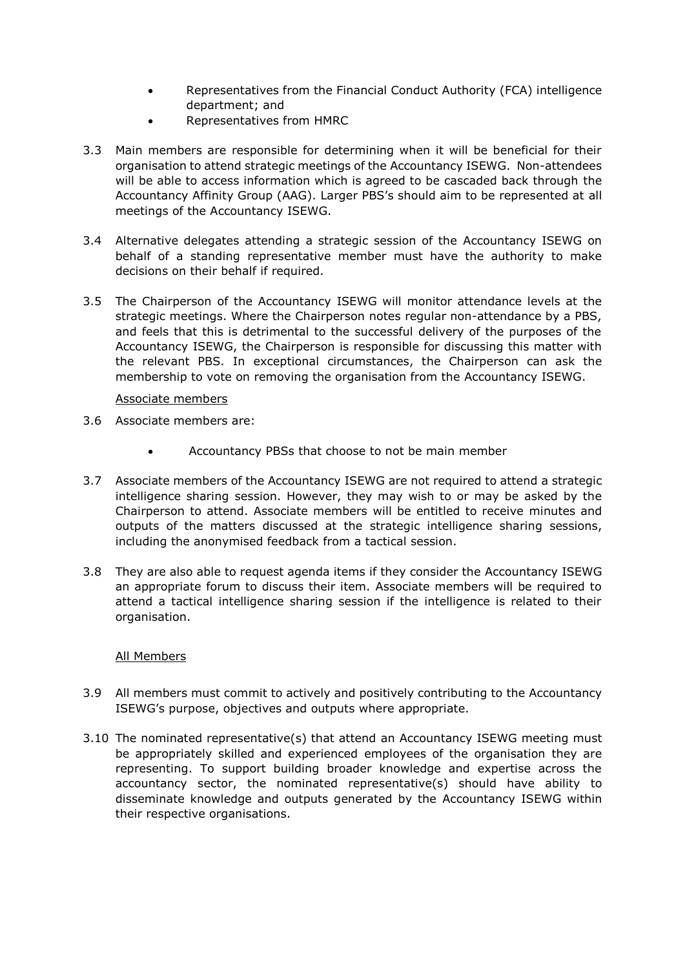- Representatives from the Financial Conduct Authority (FCA) intelligence department; and
- Representatives from HMRC
- 3.3 Main members are responsible for determining when it will be beneficial for their organisation to attend strategic meetings of the Accountancy ISEWG. Non-attendees will be able to access information which is agreed to be cascaded back through the Accountancy Affinity Group (AAG). Larger PBS's should aim to be represented at all meetings of the Accountancy ISEWG.
- 3.4 Alternative delegates attending a strategic session of the Accountancy ISEWG on behalf of a standing representative member must have the authority to make decisions on their behalf if required.
- 3.5 The Chairperson of the Accountancy ISEWG will monitor attendance levels at the strategic meetings. Where the Chairperson notes regular non-attendance by a PBS, and feels that this is detrimental to the successful delivery of the purposes of the Accountancy ISEWG, the Chairperson is responsible for discussing this matter with the relevant PBS. In exceptional circumstances, the Chairperson can ask the membership to vote on removing the organisation from the Accountancy ISEWG.

## Associate members

- 3.6 Associate members are:
	- Accountancy PBSs that choose to not be main member
- 3.7 Associate members of the Accountancy ISEWG are not required to attend a strategic intelligence sharing session. However, they may wish to or may be asked by the Chairperson to attend. Associate members will be entitled to receive minutes and outputs of the matters discussed at the strategic intelligence sharing sessions, including the anonymised feedback from a tactical session.
- 3.8 They are also able to request agenda items if they consider the Accountancy ISEWG an appropriate forum to discuss their item. Associate members will be required to attend a tactical intelligence sharing session if the intelligence is related to their organisation.

## All Members

- 3.9 All members must commit to actively and positively contributing to the Accountancy ISEWG's purpose, objectives and outputs where appropriate.
- 3.10 The nominated representative(s) that attend an Accountancy ISEWG meeting must be appropriately skilled and experienced employees of the organisation they are representing. To support building broader knowledge and expertise across the accountancy sector, the nominated representative(s) should have ability to disseminate knowledge and outputs generated by the Accountancy ISEWG within their respective organisations.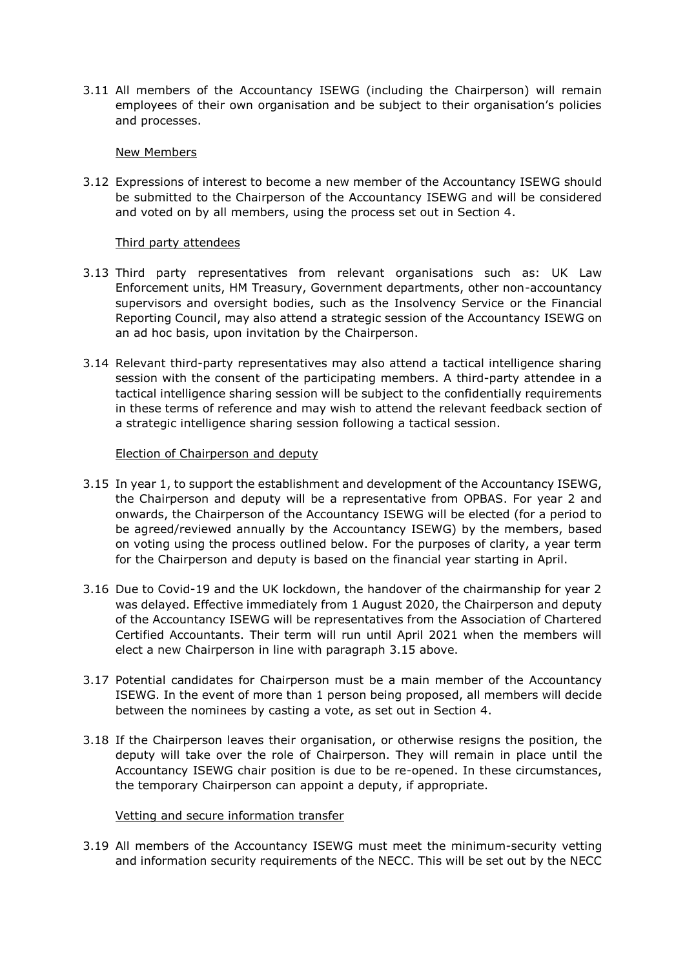3.11 All members of the Accountancy ISEWG (including the Chairperson) will remain employees of their own organisation and be subject to their organisation's policies and processes.

#### New Members

3.12 Expressions of interest to become a new member of the Accountancy ISEWG should be submitted to the Chairperson of the Accountancy ISEWG and will be considered and voted on by all members, using the process set out in Section 4.

## Third party attendees

- 3.13 Third party representatives from relevant organisations such as: UK Law Enforcement units, HM Treasury, Government departments, other non-accountancy supervisors and oversight bodies, such as the Insolvency Service or the Financial Reporting Council, may also attend a strategic session of the Accountancy ISEWG on an ad hoc basis, upon invitation by the Chairperson.
- 3.14 Relevant third-party representatives may also attend a tactical intelligence sharing session with the consent of the participating members. A third-party attendee in a tactical intelligence sharing session will be subject to the confidentially requirements in these terms of reference and may wish to attend the relevant feedback section of a strategic intelligence sharing session following a tactical session.

## Election of Chairperson and deputy

- 3.15 In year 1, to support the establishment and development of the Accountancy ISEWG, the Chairperson and deputy will be a representative from OPBAS. For year 2 and onwards, the Chairperson of the Accountancy ISEWG will be elected (for a period to be agreed/reviewed annually by the Accountancy ISEWG) by the members, based on voting using the process outlined below. For the purposes of clarity, a year term for the Chairperson and deputy is based on the financial year starting in April.
- 3.16 Due to Covid-19 and the UK lockdown, the handover of the chairmanship for year 2 was delayed. Effective immediately from 1 August 2020, the Chairperson and deputy of the Accountancy ISEWG will be representatives from the Association of Chartered Certified Accountants. Their term will run until April 2021 when the members will elect a new Chairperson in line with paragraph 3.15 above.
- 3.17 Potential candidates for Chairperson must be a main member of the Accountancy ISEWG. In the event of more than 1 person being proposed, all members will decide between the nominees by casting a vote, as set out in Section 4.
- 3.18 If the Chairperson leaves their organisation, or otherwise resigns the position, the deputy will take over the role of Chairperson. They will remain in place until the Accountancy ISEWG chair position is due to be re-opened. In these circumstances, the temporary Chairperson can appoint a deputy, if appropriate.

#### Vetting and secure information transfer

3.19 All members of the Accountancy ISEWG must meet the minimum-security vetting and information security requirements of the NECC. This will be set out by the NECC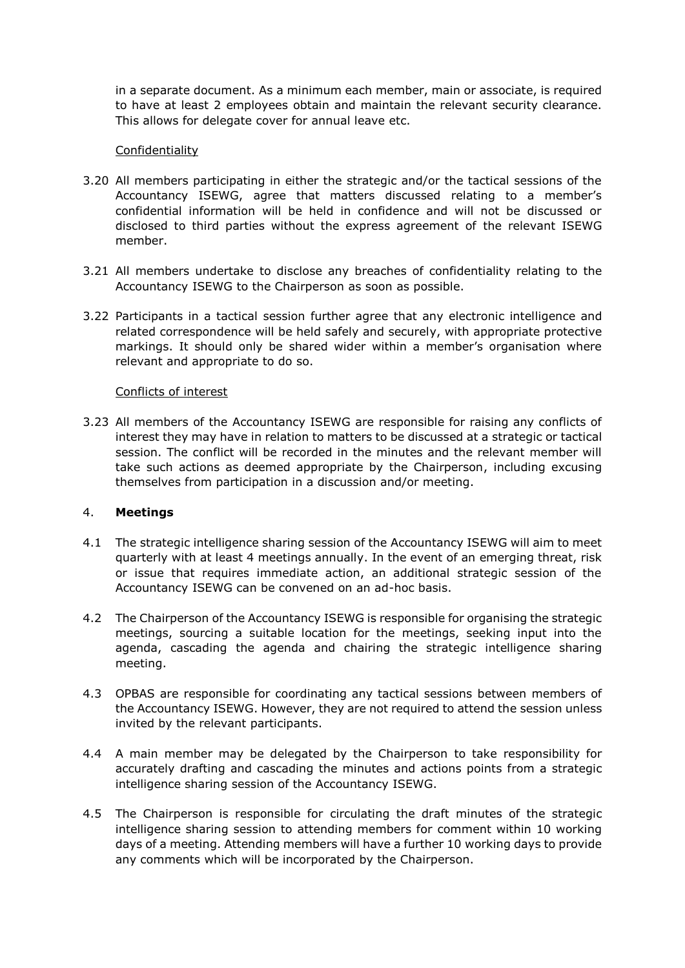in a separate document. As a minimum each member, main or associate, is required to have at least 2 employees obtain and maintain the relevant security clearance. This allows for delegate cover for annual leave etc.

## Confidentiality

- 3.20 All members participating in either the strategic and/or the tactical sessions of the Accountancy ISEWG, agree that matters discussed relating to a member's confidential information will be held in confidence and will not be discussed or disclosed to third parties without the express agreement of the relevant ISEWG member.
- 3.21 All members undertake to disclose any breaches of confidentiality relating to the Accountancy ISEWG to the Chairperson as soon as possible.
- 3.22 Participants in a tactical session further agree that any electronic intelligence and related correspondence will be held safely and securely, with appropriate protective markings. It should only be shared wider within a member's organisation where relevant and appropriate to do so.

## Conflicts of interest

3.23 All members of the Accountancy ISEWG are responsible for raising any conflicts of interest they may have in relation to matters to be discussed at a strategic or tactical session. The conflict will be recorded in the minutes and the relevant member will take such actions as deemed appropriate by the Chairperson, including excusing themselves from participation in a discussion and/or meeting.

#### 4. **Meetings**

- 4.1 The strategic intelligence sharing session of the Accountancy ISEWG will aim to meet quarterly with at least 4 meetings annually. In the event of an emerging threat, risk or issue that requires immediate action, an additional strategic session of the Accountancy ISEWG can be convened on an ad-hoc basis.
- 4.2 The Chairperson of the Accountancy ISEWG is responsible for organising the strategic meetings, sourcing a suitable location for the meetings, seeking input into the agenda, cascading the agenda and chairing the strategic intelligence sharing meeting.
- 4.3 OPBAS are responsible for coordinating any tactical sessions between members of the Accountancy ISEWG. However, they are not required to attend the session unless invited by the relevant participants.
- 4.4 A main member may be delegated by the Chairperson to take responsibility for accurately drafting and cascading the minutes and actions points from a strategic intelligence sharing session of the Accountancy ISEWG.
- 4.5 The Chairperson is responsible for circulating the draft minutes of the strategic intelligence sharing session to attending members for comment within 10 working days of a meeting. Attending members will have a further 10 working days to provide any comments which will be incorporated by the Chairperson.